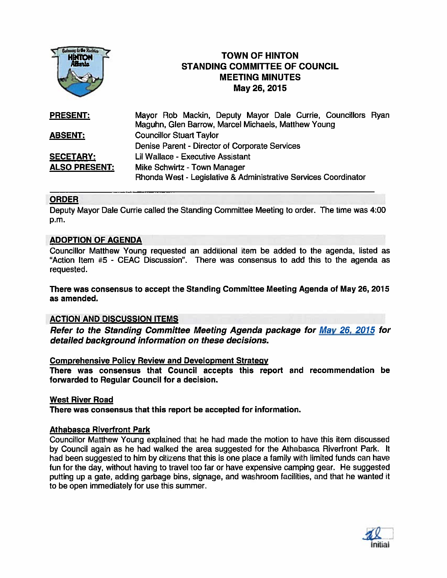

# **TOWN OF HINTON** STANDING COMMITTEE OF COUNCIL MEETING MINUTES May 26, 2015

| <b>PRESENT:</b>      | Mayor Rob Mackin, Deputy Mayor Dale Currie, Councillors Ryan    |
|----------------------|-----------------------------------------------------------------|
|                      | Maguhn, Glen Barrow, Marcel Michaels, Matthew Young             |
| <b>ABSENT:</b>       | <b>Councillor Stuart Taylor</b>                                 |
|                      | Denise Parent - Director of Corporate Services                  |
| <b>SECETARY:</b>     | Lil Wallace - Executive Assistant                               |
| <b>ALSO PRESENT:</b> | Mike Schwirtz - Town Manager                                    |
|                      | Rhonda West - Legislative & Administrative Services Coordinator |

# ORDER

Deputy Mayor Dale Currie called the Standing Committee Meeting to order. The time was 4:00 p.m.

# ADOPTION OF AGENDA

Councillor Matthew Young requested an additional item be added to the agenda, listed as "Action Item #5 - CEAC Discussion". There was consensus to add this to the agenda as requested.

There was consensus to accep<sup>t</sup> the Standing Committee Meeting Agenda of May 26, 2015 as amended.

### ACTION AND DISCUSSION ITEMS

Refer to the Standing Committee Meeting Agenda package for May 26, 2015 for detailed background information on these decisions.

# Comprehensive Policy Review and Development Strategy

There was consensus that Council accepts this repor<sup>t</sup> and recommendation be forwarded to Regular Council for <sup>a</sup> decision.

# West River Road

There was consensus that this repor<sup>t</sup> be accepted for information.

## Athabasca Riverfront Park

Councillor Matthew Young explained that he had made the motion to have this item discussed by Council again as he had walked the area suggested for the Athabasca Riverfront Park. It had been suggested to him by citizens that this is one <sup>p</sup>lace <sup>a</sup> family with limited funds can have fun for the day, without having to travel too far or have expensive camping gear. He suggested putting up <sup>a</sup> gate, adding garbage bins, signage, and washroom facilities, and that he wanted it to be open immediately for use this summer.

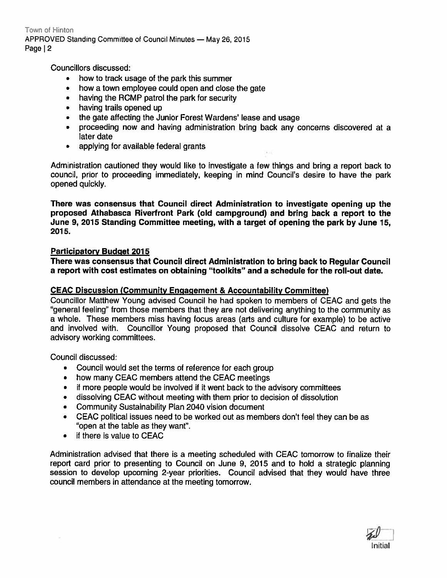Town of Hinton APPROVED Standing Committee of Council Minutes - May 26, 2015 Page | 2

Councillors discussed:

- how to track usage of the park this summer
- how <sup>a</sup> town employee could open and close the gate
- having the ROMP patrol the park for security
- having trails opened up
- the gate affecting the Junior Forest Wardens' lease and usage
- proceeding now and having administration bring back any concerns discovered at <sup>a</sup> later date
- applying for available federal grants

Administration cautioned they would like to investigate <sup>a</sup> few things and bring <sup>a</sup> repor<sup>t</sup> back to council, prior to proceeding immediately, keeping in mind Council's desire to have the park opened quickly.

There was consensus that Council direct Administration to investigate opening up the proposed Athabasca Riverfront Park (old campground) and bring back <sup>a</sup> repor<sup>t</sup> to the June 9, 2015 Standing Committee meeting, with <sup>a</sup> target of opening the park by June 15, 2015.

# Participatory Budget 2015

There was consensus that Council direct Administration to bring back to Regular Council <sup>a</sup> repor<sup>t</sup> with cost estimates on obtaining "toolkits" and <sup>a</sup> schedule for the roll-out date.

# CEAC Discussion (Community Engagement & Accountability Committee)

Councillor Matthew Young advised Council he had spoken to members of CEAC and gets the "general feeling" from those members that they are not delivering anything to the community as <sup>a</sup> whole. These members miss having focus areas (arts and culture for example) to be active and involved with. Councillor Young proposed that Council dissolve CEAC and return to advisory working committees.

Council discussed:

- Council would set the terms of reference for each group
- how many CEAC members attend the CEAC meetings
- •if more people would be involved if it went back to the advisory committees
- dissolving CEAC without meeting with them prior to decision of dissolution
- Community Sustainability Plan 2040 vision document
- • CEAC political issues need to be worked out as members don't feel they can be as "open at the table as they want".
- if there is value to CEAC

Administration advised that there is <sup>a</sup> meeting scheduled with CEAC tomorrow to finalize their repor<sup>t</sup> card prior to presenting to Council on June 9, 2015 and to hold <sup>a</sup> strategic planning session to develop upcoming 2-year priorities. Council advised that they would have three council members in attendance at the meeting tomorrow.

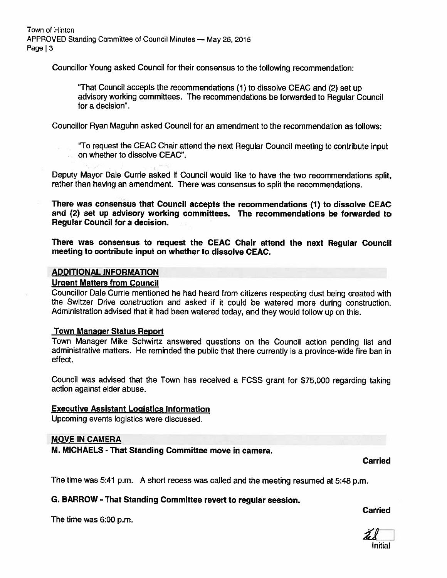Town of Hinton APPROVED Standing Committee of Council Minutes - May 26, 2015 Page | 3

Councillor Young asked Council for their consensus to the following recommendation:

"That Council accepts the recommendations (1) to dissolve CEAC and (2) set up advisory working committees. The recommendations be forwarded to Regular Council for <sup>a</sup> decision'.

Councillor Ryan Maguhn asked Council for an amendment to the recommendation as follows:

"To reques<sup>t</sup> the CEAC Chair attend the next Regular Council meeting to contribute input on whether to dissolve CEAC".

Deputy Mayor Dale Currie asked if Council would like to have the two recommendations split, rather than having an amendment. There was consensus to split the recommendations.

There was consensus that Council accepts the recommendations (1) to dissolve CEAC and (2) set up advisory working committees. The recommendations be forwarded to Regular Council for <sup>a</sup> decision.

There was consensus to request the CEAC Chair attend the next Regular Council meeting to contribute input on whether to dissolve CEAC.

#### ADDITIONAL INFORMATION

# Urgent Matters from Council

Councillor Dale Currie mentioned he had heard from citizens respecting dust being created with the Switzer Drive construction and asked if it could be watered more during construction. Administration advised that it had been watered today, and they would follow up on this.

### Town Manager Status Report

Town Manager Mike Schwirtz answered questions on the Council action pending list and administrative matters. He reminded the public that there currently is <sup>a</sup> province-wide fire ban in effect.

Council was advised that the Town has received <sup>a</sup> FCSS gran<sup>t</sup> for \$75,000 regarding taking action against elder abuse.

### Executive Assistant Logistics Information

Upcoming events logistics were discussed.

### MOVE IN CAMERA

M. MICHAELS - That Standing Committee move in camera.

Carried

The time was 5:41 p.m. <sup>A</sup> short recess was called and the meeting resumed at 5:48 p.m.

# G. BARROW - That Standing Committee revert to regular session.

The time was 6:00 p.m.

# Carried

LI Initial